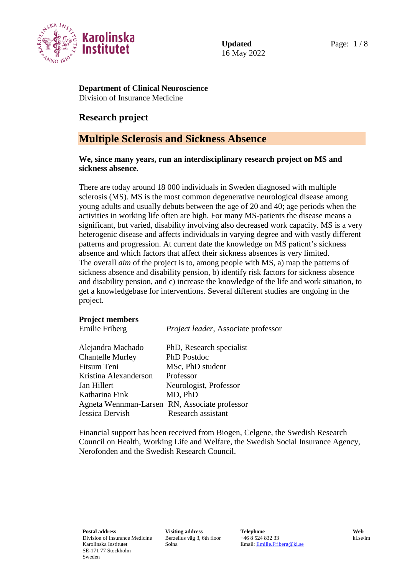

Updated Page:  $1/8$ 16 May 2022

**Department of Clinical Neuroscience** Division of Insurance Medicine

# **Research project**

# **Multiple Sclerosis and Sickness Absence**

#### **We, since many years, run an interdisciplinary research project on MS and sickness absence.**

There are today around 18 000 individuals in Sweden diagnosed with multiple sclerosis (MS). MS is the most common degenerative neurological disease among young adults and usually debuts between the age of 20 and 40; age periods when the activities in working life often are high. For many MS-patients the disease means a significant, but varied, disability involving also decreased work capacity. MS is a very heterogenic disease and affects individuals in varying degree and with vastly different patterns and progression. At current date the knowledge on MS patient's sickness absence and which factors that affect their sickness absences is very limited. The overall *aim* of the project is to, among people with MS, a) map the patterns of sickness absence and disability pension, b) identify risk factors for sickness absence and disability pension, and c) increase the knowledge of the life and work situation, to get a knowledgebase for interventions. Several different studies are ongoing in the project.

## **Project members**

| Project leader, Associate professor           |
|-----------------------------------------------|
| PhD, Research specialist                      |
| PhD Postdoc                                   |
| MSc, PhD student                              |
| Professor                                     |
| Neurologist, Professor                        |
| MD, PhD                                       |
| Agneta Wennman-Larsen RN, Associate professor |
| Research assistant                            |
|                                               |

Financial support has been received from Biogen, Celgene, the Swedish Research Council on Health, Working Life and Welfare, the Swedish Social Insurance Agency, Nerofonden and the Swedish Research Council.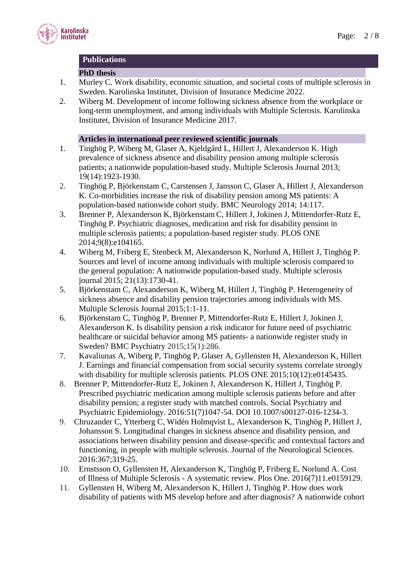

#### **Publications**

#### **PhD thesis**

- 1. Murley C. Work disability, economic situation, and societal costs of multiple sclerosis in Sweden. Karolinska Institutet, Division of Insurance Medicine 2022.
- 2. Wiberg M. Development of income following sickness absence from the workplace or long-term unemployment, and among individuals with Multiple Sclerosis. Karolinska Institutet, Division of Insurance Medicine 2017.

# **Articles in international peer reviewed scientific journals**

- 1. Tinghög P, Wiberg M, Glaser A, Kjeldgård L, Hillert J, Alexanderson K. High prevalence of sickness absence and disability pension among multiple sclerosis patients; a nationwide population-based study. Multiple Sclerosis Journal 2013; 19(14):1923-1930.
- 2. Tinghög P, Björkenstam C, Carstensen J, Jansson C, Glaser A, Hillert J, Alexanderson K. Co-morbidities increase the risk of disability pension among MS patients: A population-based nationwide cohort study. BMC Neurology 2014; 14:117.
- 3. Brenner P, Alexanderson K, Björkenstam C, Hillert J, Jokinen J, Mittendorfer-Rutz E, Tinghög P. Psychiatric diagnoses, medication and risk for disability pension in multiple sclerosis patients; a population-based register study. PLOS ONE 2014;9(8):e104165.
- 4. Wiberg M, Friberg E, Stenbeck M, Alexanderson K, Norlund A, Hillert J, Tinghög P. Sources and level of income among individuals with multiple sclerosis compared to the general population: A nationwide population-based study. Multiple sclerosis journal 2015; 21(13):1730-41.
- 5. Björkenstam C, Alexanderson K, Wiberg M, Hillert J, Tinghög P. Heterogeneity of sickness absence and disability pension trajectories among individuals with MS. Multiple Sclerosis Journal 2015;1:1-11.
- 6. Björkenstam C, Tinghög P, Brenner P, Mittendorfer-Rutz E, Hillert J, Jokinen J, Alexanderson K. Is disability pension a risk indicator for future need of psychiatric healthcare or suicidal behavior among MS patients- a nationwide register study in Sweden? BMC Psychiatry 2015;15(1):286.
- 7. Kavaliunas A, Wiberg P, Tinghög P, Glaser A, Gyllensten H, Alexanderson K, Hillert J. Earnings and financial compensation from social security systems correlate strongly with disability for multiple sclerosis patients. PLOS ONE 2015;10(12):e0145435.
- 8. Brenner P, Mittendorfer-Rutz E, Jokinen J, Alexanderson K, Hillert J, Tinghög P. Prescribed psychiatric medication among multiple sclerosis patients before and after disability pension; a register study with matched controls. Social Psychiatry and Psychiatric Epidemiology. 2016:51(7)1047-54. DOI 10.1007/s00127-016-1234-3.
- 9. Chruzander C, Ytterberg C, Widén Holmqvist L, Alexanderson K, Tinghög P, Hillert J, Johansson S. Longitudinal changes in sickness absence and disability pension, and associations between disability pension and disease-specific and contextual factors and functioning, in people with multiple sclerosis. Journal of the Neurological Sciences. 2016:367;319-25.
- 10. Ernstsson O, Gyllensten H, Alexanderson K, Tinghög P, Friberg E, Norlund A. Cost of Illness of Multiple Sclerosis - A systematic review. Plos One. 2016(7)11.e0159129.
- 11. Gyllensten H, Wiberg M, Alexanderson K, Hillert J, Tinghög P. How does work disability of patients with MS develop before and after diagnosis? A nationwide cohort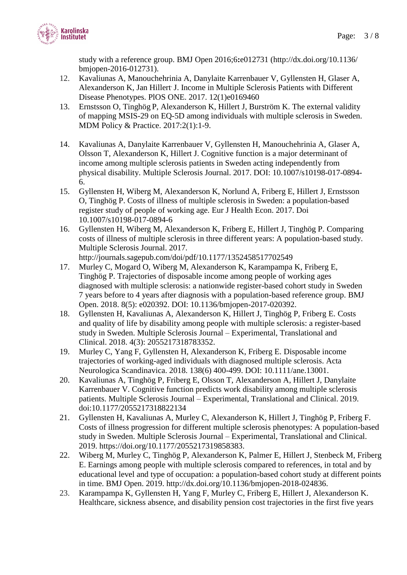

study with a reference group. BMJ Open 2016;6**:**e012731 (http://dx.doi.org/10.1136/ bmjopen-2016-012731).

- 12. Kavaliunas A, Manouchehrinia A, Danylaite Karrenbauer V, Gyllensten H, Glaser A, Alexanderson K, Jan Hillert. J. Income in Multiple Sclerosis Patients with Different Disease Phenotypes. PlOS ONE. 2017. 12(1)e0169460
- 13. Ernstsson O, Tinghög P, Alexanderson K, Hillert J, Burström K. The external validity of mapping MSIS-29 on EQ-5D among individuals with multiple sclerosis in Sweden. MDM Policy & Practice. 2017:2(1):1-9.
- 14. Kavaliunas A, Danylaite Karrenbauer V, Gyllensten H, Manouchehrinia A, Glaser A, Olsson T, Alexanderson K, Hillert J. Cognitive function is a major determinant of income among multiple sclerosis patients in Sweden acting independently from physical disability. Multiple Sclerosis Journal. 2017. DOI: 10.1007/s10198-017-0894- 6.
- 15. Gyllensten H, Wiberg M, Alexanderson K, Norlund A, Friberg E, Hillert J, Ernstsson O, Tinghög P. Costs of illness of multiple sclerosis in Sweden: a population-based register study of people of working age. Eur J Health Econ. 2017. Doi 10.1007/s10198-017-0894-6
- 16. Gyllensten H, Wiberg M, Alexanderson K, Friberg E, Hillert J, Tinghög P. Comparing costs of illness of multiple sclerosis in three different years: A population-based study. Multiple Sclerosis Journal. 2017. http://journals.sagepub.com/doi/pdf/10.1177/1352458517702549
- 17. Murley C, Mogard O, Wiberg M, Alexanderson K, Karampampa K, Friberg E, Tinghög P. Trajectories of disposable income among people of working ages diagnosed with multiple sclerosis: a nationwide register-based cohort study in Sweden 7 years before to 4 years after diagnosis with a population-based reference group. BMJ Open. 2018. 8(5): e020392. DOI: 10.1136/bmjopen-2017-020392.
- 18. Gyllensten H, Kavaliunas A, Alexanderson K, Hillert J, Tinghög P, Friberg E. Costs and quality of life by disability among people with multiple sclerosis: a register-based study in Sweden. Multiple Sclerosis Journal – Experimental, Translational and Clinical. 2018. 4(3): 2055217318783352.
- 19. Murley C, Yang F, Gyllensten H, Alexanderson K, Friberg E. Disposable income trajectories of working-aged individuals with diagnosed multiple sclerosis. Acta Neurologica Scandinavica. 2018. 138(6) 400-499. DOI: 10.1111/ane.13001.
- 20. Kavaliunas A, Tinghög P, Friberg E, Olsson T, Alexanderson A, Hillert J, Danylaite Karrenbauer V. Cognitive function predicts work disability among multiple sclerosis patients. Multiple Sclerosis Journal – Experimental, Translational and Clinical. 2019. doi:10.1177/2055217318822134
- 21. Gyllensten H, Kavaliunas A, Murley C, Alexanderson K, Hillert J, Tinghög P, Friberg F. Costs of illness progression for different multiple sclerosis phenotypes: A population-based study in Sweden. Multiple Sclerosis Journal – Experimental, Translational and Clinical. 2019. https://doi.org/10.1177/2055217319858383.
- 22. Wiberg M, Murley C, Tinghög P, Alexanderson K, Palmer E, Hillert J, Stenbeck M, Friberg E. Earnings among people with multiple sclerosis compared to references, in total and by educational level and type of occupation: a population-based cohort study at different points in time. BMJ Open. 2019. http://dx.doi.org/10.1136/bmjopen-2018-024836.
- 23. Karampampa K, Gyllensten H, Yang F, Murley C, Friberg E, Hillert J, Alexanderson K. Healthcare, sickness absence, and disability pension cost trajectories in the first five years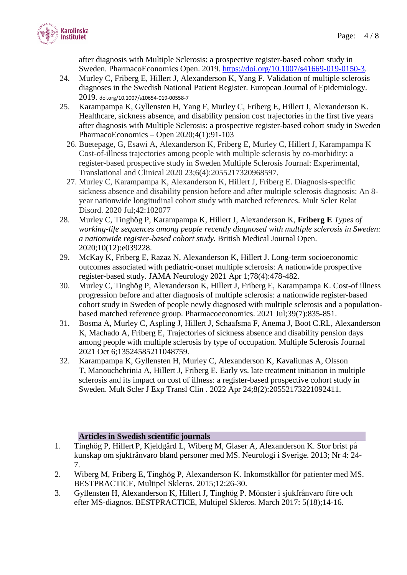

after diagnosis with Multiple Sclerosis: a prospective register-based cohort study in Sweden. PharmacoEconomics Open. 2019. [https://doi.org/10.1007/s41669-019-0150-3.](https://doi.org/10.1007/s41669-019-0150-3)

- 24. Murley C, Friberg E, Hillert J, Alexanderson K, Yang F. Validation of multiple sclerosis diagnoses in the Swedish National Patient Register. European Journal of Epidemiology. 2019. doi.org/10.1007/s10654-019-00558-7
- 25. Karampampa K, Gyllensten H, Yang F, Murley C, Friberg E, Hillert J, Alexanderson K. Healthcare, sickness absence, and disability pension cost trajectories in the first five years after diagnosis with Multiple Sclerosis: a prospective register-based cohort study in Sweden PharmacoEconomics – Open 2020;4(1):91-103
	- 26. Buetepage, G, Esawi A, Alexanderson K, Friberg E, Murley C, Hillert J, Karampampa K Cost-of-illness trajectories among people with multiple sclerosis by co-morbidity: a register-based prospective study in Sweden Multiple Sclerosis Journal: Experimental, Translational and Clinical 2020 23;6(4):2055217320968597.
	- 27. Murley C, Karampampa K, Alexanderson K, Hillert J, Friberg E. Diagnosis-specific sickness absence and disability pension before and after multiple sclerosis diagnosis: An 8 year nationwide longitudinal cohort study with matched references. Mult Scler Relat Disord. 2020 Jul;42:102077
- 28. Murley C, Tinghög P, Karampampa K, Hillert J, Alexanderson K, **Friberg E** *[Types of](https://pubmed.ncbi.nlm.nih.gov/33376161/)  [working-life sequences among people recently diagnosed with multiple sclerosis in Sweden:](https://pubmed.ncbi.nlm.nih.gov/33376161/)  [a nationwide register-based](https://pubmed.ncbi.nlm.nih.gov/33376161/) cohort study.* British Medical Journal Open. 2020;10(12):e039228.
- 29. McKay K, Friberg E, Razaz N, Alexanderson K, Hillert J. Long-term socioeconomic outcomes associated with pediatric-onset multiple sclerosis: A nationwide prospective register-based study. JAMA Neurology 2021 Apr 1;78(4):478-482.
- 30. Murley C, Tinghög P, Alexanderson K, Hillert J, Friberg E, Karampampa K. Cost-of illness progression before and after diagnosis of multiple sclerosis: a nationwide register-based cohort study in Sweden of people newly diagnosed with multiple sclerosis and a populationbased matched reference group. Pharmacoeconomics. 2021 Jul;39(7):835-851.
- 31. Bosma A, Murley C, Aspling J, Hillert J, Schaafsma F, Anema J, Boot C.RL, Alexanderson K, Machado A, Friberg E, Trajectories of sickness absence and disability pension days among people with multiple sclerosis by type of occupation. Multiple Sclerosis Journal 2021 Oct 6;13524585211048759.
- 32. Karampampa K, Gyllensten H, Murley C, Alexanderson K, Kavaliunas A, Olsson T, Manouchehrinia A, Hillert J, Friberg E. Early vs. late treatment initiation in multiple sclerosis and its impact on cost of illness: a register-based prospective cohort study in Sweden. Mult Scler J Exp Transl Clin . 2022 Apr 24;8(2):20552173221092411.

## **Articles in Swedish scientific journals**

- 1. Tinghög P, Hillert P, Kjeldgård L, Wiberg M, Glaser A, Alexanderson K. Stor brist på kunskap om sjukfrånvaro bland personer med MS. Neurologi i Sverige. 2013; Nr 4: 24- 7.
- 2. Wiberg M, Friberg E, Tinghög P, Alexanderson K. Inkomstkällor för patienter med MS. BESTPRACTICE, Multipel Skleros. 2015;12:26-30.
- 3. Gyllensten H, Alexanderson K, Hillert J, Tinghög P. Mönster i sjukfrånvaro före och efter MS-diagnos. BESTPRACTICE, Multipel Skleros. March 2017: 5(18);14-16.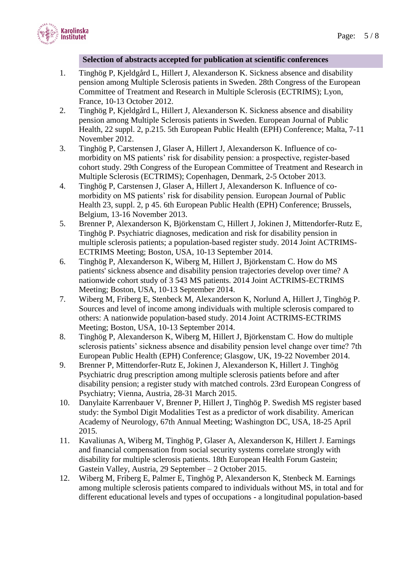

#### **Selection of abstracts accepted for publication at scientific conferences**

- 1. Tinghög P, Kjeldgård L, Hillert J, Alexanderson K. Sickness absence and disability pension among Multiple Sclerosis patients in Sweden. 28th Congress of the European Committee of Treatment and Research in Multiple Sclerosis (ECTRIMS); Lyon, France, 10-13 October 2012.
- 2. Tinghög P, Kjeldgård L, Hillert J, Alexanderson K. Sickness absence and disability pension among Multiple Sclerosis patients in Sweden. European Journal of Public Health, 22 suppl. 2, p.215. 5th European Public Health (EPH) Conference; Malta, 7-11 November 2012.
- 3. Tinghög P, Carstensen J, Glaser A, Hillert J, Alexanderson K. Influence of comorbidity on MS patients' risk for disability pension: a prospective, register-based cohort study. 29th Congress of the European Committee of Treatment and Research in Multiple Sclerosis (ECTRIMS); Copenhagen, Denmark, 2-5 October 2013.
- 4. Tinghög P, Carstensen J, Glaser A, Hillert J, Alexanderson K. Influence of comorbidity on MS patients' risk for disability pension. European Journal of Public Health 23, suppl. 2, p 45. 6th European Public Health (EPH) Conference; Brussels, Belgium, 13-16 November 2013.
- 5. Brenner P, Alexanderson K, Björkenstam C, Hillert J, Jokinen J, Mittendorfer-Rutz E, Tinghög P. Psychiatric diagnoses, medication and risk for disability pension in multiple sclerosis patients; a population-based register study. 2014 Joint ACTRIMS-ECTRIMS Meeting; Boston, USA, 10-13 September 2014.
- 6. Tinghög P, Alexanderson K, Wiberg M, Hillert J, Björkenstam C. How do MS patients' sickness absence and disability pension trajectories develop over time? A nationwide cohort study of 3 543 MS patients. 2014 Joint ACTRIMS-ECTRIMS Meeting; Boston, USA, 10-13 September 2014.
- 7. Wiberg M, Friberg E, Stenbeck M, Alexanderson K, Norlund A, Hillert J, Tinghög P. Sources and level of income among individuals with multiple sclerosis compared to others: A nationwide population-based study. 2014 Joint ACTRIMS-ECTRIMS Meeting; Boston, USA, 10-13 September 2014.
- 8. Tinghög P, Alexanderson K, Wiberg M, Hillert J, Björkenstam C. How do multiple sclerosis patients' sickness absence and disability pension level change over time? 7th European Public Health (EPH) Conference; Glasgow, UK, 19-22 November 2014.
- 9. Brenner P, Mittendorfer-Rutz E, Jokinen J, Alexanderson K, Hillert J. Tinghög Psychiatric drug prescription among multiple sclerosis patients before and after disability pension; a register study with matched controls. 23rd European Congress of Psychiatry; Vienna, Austria, 28-31 March 2015.
- 10. Danylaite Karrenbauer V, Brenner P, Hillert J, Tinghög P. Swedish MS register based study: the Symbol Digit Modalities Test as a predictor of work disability. American Academy of Neurology, 67th Annual Meeting; Washington DC, USA, 18-25 April 2015.
- 11. Kavaliunas A, Wiberg M, Tinghög P, Glaser A, Alexanderson K, Hillert J. Earnings and financial compensation from social security systems correlate strongly with disability for multiple sclerosis patients. 18th European Health Forum Gastein; Gastein Valley, Austria, 29 September – 2 October 2015.
- 12. Wiberg M, Friberg E, Palmer E, Tinghög P, Alexanderson K, Stenbeck M. Earnings among multiple sclerosis patients compared to individuals without MS, in total and for different educational levels and types of occupations - a longitudinal population-based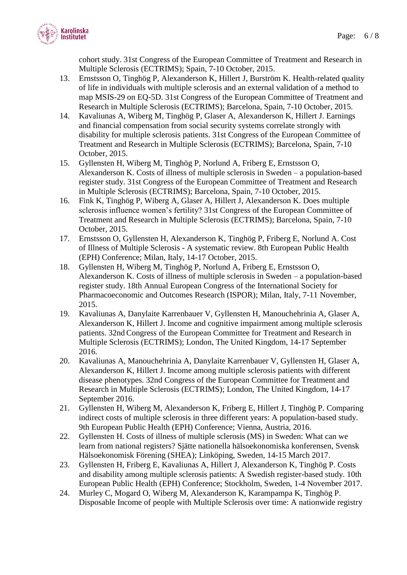

cohort study. 31st Congress of the European Committee of Treatment and Research in Multiple Sclerosis (ECTRIMS); Spain, 7-10 October, 2015.

- 13. Ernstsson O, Tinghög P, Alexanderson K, Hillert J, Burström K. Health-related quality of life in individuals with multiple sclerosis and an external validation of a method to map MSIS-29 on EQ-5D. 31st Congress of the European Committee of Treatment and Research in Multiple Sclerosis (ECTRIMS); Barcelona, Spain, 7-10 October, 2015.
- 14. Kavaliunas A, Wiberg M, Tinghög P, Glaser A, Alexanderson K, Hillert J. Earnings and financial compensation from social security systems correlate strongly with disability for multiple sclerosis patients. 31st Congress of the European Committee of Treatment and Research in Multiple Sclerosis (ECTRIMS); Barcelona, Spain, 7-10 October, 2015.
- 15. Gyllensten H, Wiberg M, Tinghög P, Norlund A, Friberg E, Ernstsson O, Alexanderson K. Costs of illness of multiple sclerosis in Sweden – a population-based register study. 31st Congress of the European Committee of Treatment and Research in Multiple Sclerosis (ECTRIMS); Barcelona, Spain, 7-10 October, 2015.
- 16. Fink K, Tinghög P, Wiberg A, Glaser A, Hillert J, Alexanderson K. Does multiple sclerosis influence women's fertility? 31st Congress of the European Committee of Treatment and Research in Multiple Sclerosis (ECTRIMS); Barcelona, Spain, 7-10 October, 2015.
- 17. Ernstsson O, Gyllensten H, Alexanderson K, Tinghög P, Friberg E, Norlund A. Cost of Illness of Multiple Sclerosis - A systematic review. 8th European Public Health (EPH) Conference; Milan, Italy, 14-17 October, 2015.
- 18. Gyllensten H, Wiberg M, Tinghög P, Norlund A, Friberg E, Ernstsson O, Alexanderson K. Costs of illness of multiple sclerosis in Sweden – a population-based register study. 18th Annual European Congress of the International Society for Pharmacoeconomic and Outcomes Research (ISPOR); Milan, Italy, 7-11 November, 2015.
- 19. Kavaliunas A, Danylaite Karrenbauer V, Gyllensten H, Manouchehrinia A, Glaser A, Alexanderson K, Hillert J. Income and cognitive impairment among multiple sclerosis patients. 32nd Congress of the European Committee for Treatment and Research in Multiple Sclerosis (ECTRIMS); London, The United Kingdom, 14-17 September 2016.
- 20. Kavaliunas A, Manouchehrinia A, Danylaite Karrenbauer V, Gyllensten H, Glaser A, Alexanderson K, Hillert J. Income among multiple sclerosis patients with different disease phenotypes. 32nd Congress of the European Committee for Treatment and Research in Multiple Sclerosis (ECTRIMS); London, The United Kingdom, 14-17 September 2016.
- 21. Gyllensten H, Wiberg M, Alexanderson K, Friberg E, Hillert J, Tinghög P. Comparing indirect costs of multiple sclerosis in three different years: A population-based study. 9th European Public Health (EPH) Conference; Vienna, Austria, 2016.
- 22. Gyllensten H. Costs of illness of multiple sclerosis (MS) in Sweden: What can we learn from national registers? Sjätte nationella hälsoekonomiska konferensen, Svensk Hälsoekonomisk Förening (SHEA); Linköping, Sweden, 14-15 March 2017.
- 23. Gyllensten H, Friberg E, Kavaliunas A, Hillert J, Alexanderson K, Tinghög P. Costs and disability among multiple sclerosis patients: A Swedish register-based study. 10th European Public Health (EPH) Conference; Stockholm, Sweden, 1-4 November 2017.
- 24. Murley C, Mogard O, Wiberg M, Alexanderson K, Karampampa K, Tinghög P. Disposable Income of people with Multiple Sclerosis over time: A nationwide registry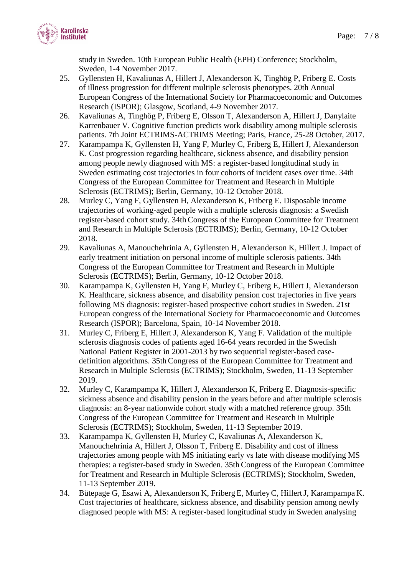study in Sweden. 10th European Public Health (EPH) Conference; Stockholm, Sweden, 1-4 November 2017.

- 25. Gyllensten H, Kavaliunas A, Hillert J, Alexanderson K, Tinghög P, Friberg E. Costs of illness progression for different multiple sclerosis phenotypes. 20th Annual European Congress of the International Society for Pharmacoeconomic and Outcomes Research (ISPOR); Glasgow, Scotland, 4-9 November 2017.
- 26. Kavaliunas A, Tinghög P, Friberg E, Olsson T, Alexanderson A, Hillert J, Danylaite Karrenbauer V. Cognitive function predicts work disability among multiple sclerosis patients. 7th Joint ECTRIMS-ACTRIMS Meeting; Paris, France, 25-28 October, 2017.
- 27. Karampampa K, Gyllensten H, Yang F, Murley C, Friberg E, Hillert J, Alexanderson K. Cost progression regarding healthcare, sickness absence, and disability pension among people newly diagnosed with MS: a register-based longitudinal study in Sweden estimating cost trajectories in four cohorts of incident cases over time. 34th Congress of the European Committee for Treatment and Research in Multiple Sclerosis (ECTRIMS); Berlin, Germany, 10-12 October 2018.
- 28. Murley C, Yang F, Gyllensten H, Alexanderson K, Friberg E. Disposable income trajectories of working-aged people with a multiple sclerosis diagnosis: a Swedish register-based cohort study. 34th Congress of the European Committee for Treatment and Research in Multiple Sclerosis (ECTRIMS); Berlin, Germany, 10-12 October 2018.
- 29. Kavaliunas A, Manouchehrinia A, Gyllensten H, Alexanderson K, Hillert J. Impact of early treatment initiation on personal income of multiple sclerosis patients. 34th Congress of the European Committee for Treatment and Research in Multiple Sclerosis (ECTRIMS); Berlin, Germany, 10-12 October 2018.
- 30. Karampampa K, Gyllensten H, Yang F, Murley C, Friberg E, Hillert J, Alexanderson K. Healthcare, sickness absence, and disability pension cost trajectories in five years following MS diagnosis: register-based prospective cohort studies in Sweden. 21st European congress of the International Society for Pharmacoeconomic and Outcomes Research (ISPOR); Barcelona, Spain, 10-14 November 2018.
- 31. Murley C, Friberg E, Hillert J, Alexanderson K, Yang F. Validation of the multiple sclerosis diagnosis codes of patients aged 16-64 years recorded in the Swedish National Patient Register in 2001-2013 by two sequential register-based casedefinition algorithms. 35th Congress of the European Committee for Treatment and Research in Multiple Sclerosis (ECTRIMS); Stockholm, Sweden, 11-13 September 2019.
- 32. Murley C, Karampampa K, Hillert J, Alexanderson K, Friberg E. Diagnosis-specific sickness absence and disability pension in the years before and after multiple sclerosis diagnosis: an 8-year nationwide cohort study with a matched reference group. 35th Congress of the European Committee for Treatment and Research in Multiple Sclerosis (ECTRIMS); Stockholm, Sweden, 11-13 September 2019.
- 33. Karampampa K, Gyllensten H, Murley C, Kavaliunas A, Alexanderson K, Manouchehrinia A, Hillert J, Olsson T, Friberg E. Disability and cost of illness trajectories among people with MS initiating early vs late with disease modifying MS therapies: a register-based study in Sweden. 35th Congress of the European Committee for Treatment and Research in Multiple Sclerosis (ECTRIMS); Stockholm, Sweden, 11-13 September 2019.
- 34. Bütepage G, Esawi A, Alexanderson K, Friberg E, MurleyC, HillertJ, Karampampa K. Cost trajectories of healthcare, sickness absence, and disability pension among newly diagnosed people with MS: A register-based longitudinal study in Sweden analysing